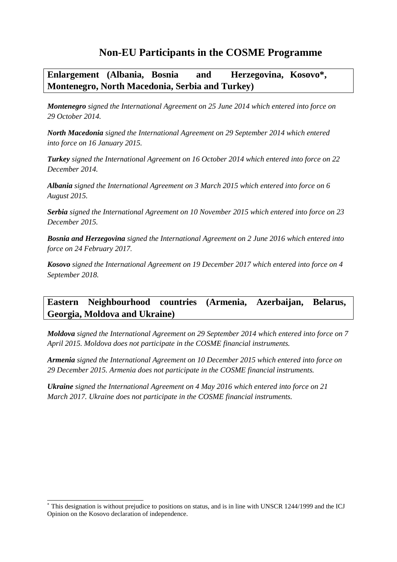# **Non-EU Participants in the COSME Programme**

**Enlargement (Albania, Bosnia and Herzegovina, Kosovo\*, Montenegro, North Macedonia, Serbia and Turkey)**

*Montenegro signed the International Agreement on 25 June 2014 which entered into force on 29 October 2014.*

*North Macedonia signed the International Agreement on 29 September 2014 which entered into force on 16 January 2015.*

*Turkey signed the International Agreement on 16 October 2014 which entered into force on 22 December 2014.*

*Albania signed the International Agreement on 3 March 2015 which entered into force on 6 August 2015.*

*Serbia signed the International Agreement on 10 November 2015 which entered into force on 23 December 2015.*

*Bosnia and Herzegovina signed the International Agreement on 2 June 2016 which entered into force on 24 February 2017.*

*Kosovo signed the International Agreement on 19 December 2017 which entered into force on 4 September 2018.*

## **Eastern Neighbourhood countries (Armenia, Azerbaijan, Belarus, Georgia, Moldova and Ukraine)**

*Moldova signed the International Agreement on 29 September 2014 which entered into force on 7 April 2015. Moldova does not participate in the COSME financial instruments.*

*Armenia signed the International Agreement on 10 December 2015 which entered into force on 29 December 2015. Armenia does not participate in the COSME financial instruments.*

*Ukraine signed the International Agreement on 4 May 2016 which entered into force on 21 March 2017. Ukraine does not participate in the COSME financial instruments.*

This designation is without prejudice to positions on status, and is in line with UNSCR 1244/1999 and the ICJ Opinion on the Kosovo declaration of independence.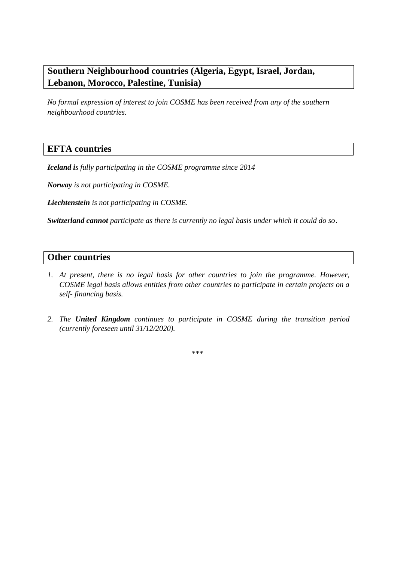## **Southern Neighbourhood countries (Algeria, Egypt, Israel, Jordan, Lebanon, Morocco, Palestine, Tunisia)**

*No formal expression of interest to join COSME has been received from any of the southern neighbourhood countries.*

#### **EFTA countries**

*Iceland is fully participating in the COSME programme since 2014*

*Norway is not participating in COSME.*

*Liechtenstein is not participating in COSME.*

*Switzerland cannot participate as there is currently no legal basis under which it could do so*.

#### **Other countries**

- *1. At present, there is no legal basis for other countries to join the programme. However, COSME legal basis allows entities from other countries to participate in certain projects on a self- financing basis.*
- *2. The United Kingdom continues to participate in COSME during the transition period (currently foreseen until 31/12/2020).*

*\*\*\**